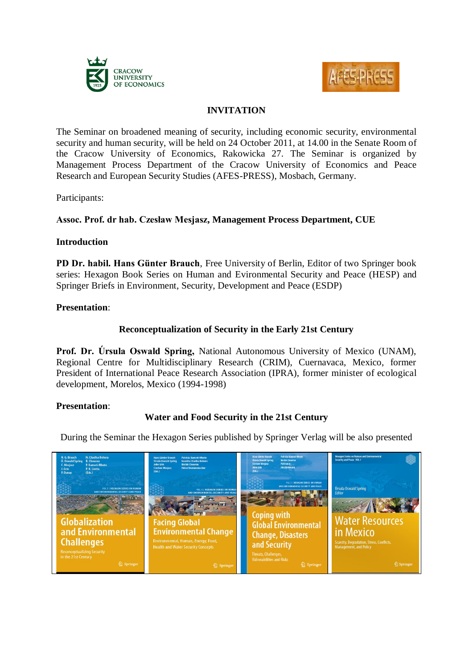



# **INVITATION**

The Seminar on broadened meaning of security, including economic security, environmental security and human security, will be held on 24 October 2011, at 14.00 in the Senate Room of the Cracow University of Economics, Rakowicka 27. The Seminar is organized by Management Process Department of the Cracow University of Economics and Peace Research and European Security Studies (AFES-PRESS), Mosbach, Germany.

Participants:

## **Assoc. Prof. dr hab. Czesław Mesjasz, Management Process Department, CUE**

#### **Introduction**

**PD Dr. habil. Hans Günter Brauch**, Free University of Berlin, Editor of two Springer book series: Hexagon Book Series on Human and Evironmental Security and Peace (HESP) and Springer Briefs in Environment, Security, Development and Peace (ESDP)

#### **Presentation**:

## **Reconceptualization of Security in the Early 21st Century**

**Prof. Dr. Úrsula Oswald Spring,** National Autonomous University of Mexico (UNAM), Regional Centre for Multidisciplinary Research (CRIM), Cuernavaca, Mexico, former President of International Peace Research Association (IPRA), former minister of ecological development, Morelos, Mexico (1994-1998)

## **Presentation**:

# **Water and Food Security in the 21st Century**

During the Seminar the Hexagon Series published by Springer Verlag will be also presented